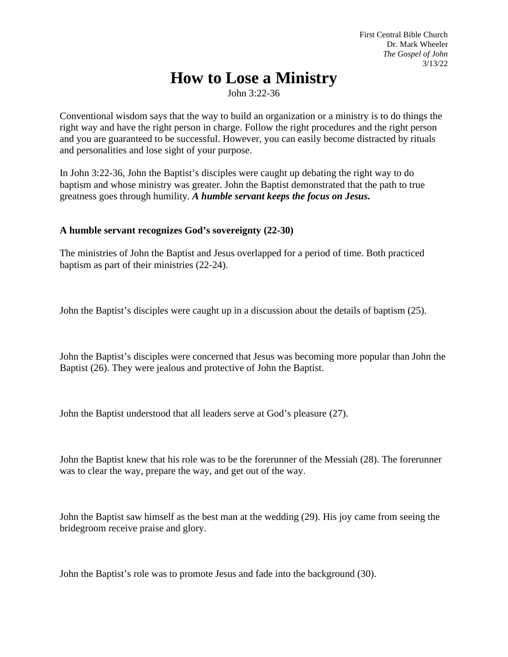First Central Bible Church Dr. Mark Wheeler *The Gospel of John*  3/13/22

## **How to Lose a Ministry**

John 3:22-36

Conventional wisdom says that the way to build an organization or a ministry is to do things the right way and have the right person in charge. Follow the right procedures and the right person and you are guaranteed to be successful. However, you can easily become distracted by rituals and personalities and lose sight of your purpose.

In John 3:22-36, John the Baptist's disciples were caught up debating the right way to do baptism and whose ministry was greater. John the Baptist demonstrated that the path to true greatness goes through humility. *A humble servant keeps the focus on Jesus.*

## **A humble servant recognizes God's sovereignty (22-30)**

The ministries of John the Baptist and Jesus overlapped for a period of time. Both practiced baptism as part of their ministries (22-24).

John the Baptist's disciples were caught up in a discussion about the details of baptism (25).

John the Baptist's disciples were concerned that Jesus was becoming more popular than John the Baptist (26). They were jealous and protective of John the Baptist.

John the Baptist understood that all leaders serve at God's pleasure (27).

John the Baptist knew that his role was to be the forerunner of the Messiah (28). The forerunner was to clear the way, prepare the way, and get out of the way.

John the Baptist saw himself as the best man at the wedding (29). His joy came from seeing the bridegroom receive praise and glory.

John the Baptist's role was to promote Jesus and fade into the background (30).